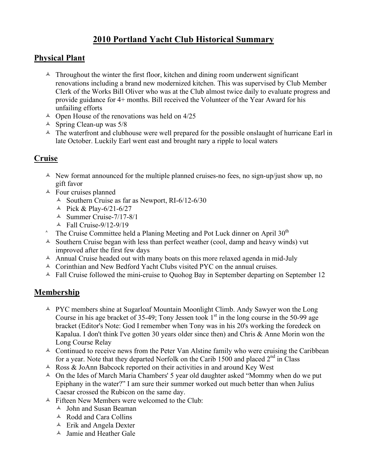# **2010 Portland Yacht Club Historical Summary**

### **Physical Plant**

- $\triangle$  Throughout the winter the first floor, kitchen and dining room underwent significant renovations including a brand new modernized kitchen. This was supervised by Club Member Clerk of the Works Bill Oliver who was at the Club almost twice daily to evaluate progress and provide guidance for 4+ months. Bill received the Volunteer of the Year Award for his unfailing efforts
- $\triangle$  Open House of the renovations was held on 4/25
- $\triangle$  Spring Clean-up was 5/8
- $\triangle$  The waterfront and clubhouse were well prepared for the possible onslaught of hurricane Earl in late October. Luckily Earl went east and brought nary a ripple to local waters

## **Cruise**

- $\triangle$  New format announced for the multiple planned cruises-no fees, no sign-up/just show up, no gift favor
- $\triangle$  Four cruises planned
	- $\triangle$  Southern Cruise as far as Newport, RI-6/12-6/30
	- A Pick & Play-6/21-6/27
	- $\triangle$  Summer Cruise-7/17-8/1
	- $\triangle$  Fall Cruise-9/12-9/19
- $\textdegree$  The Cruise Committee held a Planing Meeting and Pot Luck dinner on April 30<sup>th</sup>
- $\triangle$  Southern Cruise began with less than perfect weather (cool, damp and heavy winds) vut improved after the first few days
- $\triangle$  Annual Cruise headed out with many boats on this more relaxed agenda in mid-July
- $\triangle$  Corinthian and New Bedford Yacht Clubs visited PYC on the annual cruises.
- $\triangle$  Fall Cruise followed the mini-cruise to Quohog Bay in September departing on September 12

### **Membership**

- <sup> $\triangle$ </sup> PYC members shine at Sugarloaf Mountain Moonlight Climb. Andy Sawyer won the Long Course in his age bracket of 35-49; Tony Jessen took  $1<sup>st</sup>$  in the long course in the 50-99 age bracket (Editor's Note: God I remember when Tony was in his 20's working the foredeck on Kapalua. I don't think I've gotten 30 years older since then) and Chris & Anne Morin won the Long Course Relay
- $\triangle$  Continued to receive news from the Peter Van Alstine family who were cruising the Caribbean for a year. Note that they departed Norfolk on the Carib 1500 and placed  $2<sup>nd</sup>$  in Class
- $\triangle$  Ross & JoAnn Babcock reported on their activities in and around Key West
- <sup> $\triangle$ </sup> On the Ides of March Maria Chambers' 5 year old daughter asked "Mommy when do we put Epiphany in the water?" I am sure their summer worked out much better than when Julius Caesar crossed the Rubicon on the same day.
- $\triangle$  Fifteen New Members were welcomed to the Club:
	- John and Susan Beaman
	- $\triangle$  Rodd and Cara Collins
	- $\triangle$  Erik and Angela Dexter
	- Jamie and Heather Gale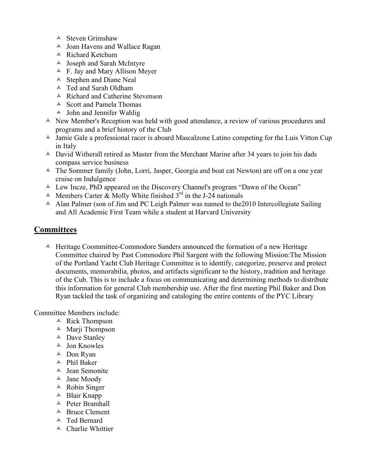- $\triangle$  Steven Grimshaw
- $\triangle$  Joan Havens and Wallace Ragan
- A Richard Ketchum
- Joseph and Sarah McIntyre
- F. Jay and Mary Allison Meyer
- $\triangle$  Stephen and Diane Neal
- Ted and Sarah Oldham
- A Richard and Catherine Stevenson
- $\triangle$  Scott and Pamela Thomas
- $\triangle$  John and Jennifer Wahlig
- $\triangle$  New Member's Reception was held with good attendance, a review of various procedures and programs and a brief history of the Club
- $\triangle$  Jamie Gale a professional racer is aboard Mascalzone Latino competing for the Luis Vitton Cup in Italy
- $\triangle$  David Witherall retired as Master from the Merchant Marine after 34 years to join his dads compass service business
- The Sommer family (John, Lorri, Jasper, Georgia and boat cat Newton) are off on a one year cruise on Indulgence
- Lew Incze, PhD appeared on the Discovery Channel's program "Dawn of the Ocean"
- A Members Carter & Molly White finished  $3^{rd}$  in the J-24 nationals
- $\triangle$  Alan Palmer (son of Jim and PC Leigh Palmer was named to the 2010 Intercollegiate Sailing and All Academic First Team while a student at Harvard University

#### **Committees**

 $\triangle$  Heritage Coommittee-Commodore Sanders announced the formation of a new Heritage Committee chaired by Past Commodore Phil Sargent with the following Mission:The Mission of the Portland Yacht Club Heritage Committee is to identify, categorize, preserve and protect documents, memorabilia, photos, and artifacts significant to the history, tradition and heritage of the Cub. This is to include a focus on communicating and determining methods to distribute this information for general Club membership use. After the first meeting Phil Baker and Don Ryan tackled the task of organizing and cataloging the entire contents of the PYC Library

Committee Members include:

- $\triangle$  Rick Thompson
- $\triangle$  Marji Thompson
- $\triangle$  Dave Stanley
- Jon Knowles
- Don Ryan
- Phil Baker
- Jean Semonite
- Jane Moody
- Robin Singer
- Blair Knapp
- Peter Bramhall
- Bruce Clement
- Ted Bernard
- $\triangle$  Charlie Whittier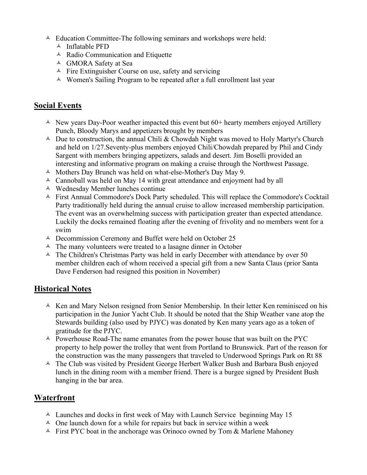- $\triangle$  Education Committee-The following seminars and workshops were held:
	- $\triangle$  Inflatable PFD
	- $\triangle$  Radio Communication and Etiquette
	- GMORA Safety at Sea
	- $\triangle$  Fire Extinguisher Course on use, safety and servicing
	- $\triangle$  Women's Sailing Program to be repeated after a full enrollment last year

### **Social Events**

- $\triangle$  New years Day-Poor weather impacted this event but 60+ hearty members enjoyed Artillery Punch, Bloody Marys and appetizers brought by members
- $\triangle$  Due to construction, the annual Chili & Chowdah Night was moved to Holy Martyr's Church and held on 1/27.Seventy-plus members enjoyed Chili/Chowdah prepared by Phil and Cindy Sargent with members bringing appetizers, salads and desert. Jim Boselli provided an interesting and informative program on making a cruise through the Northwest Passage.
- $\triangle$  Mothers Day Brunch was held on what-else-Mother's Day May 9.
- $\triangle$  Cannoball was held on May 14 with great attendance and enjoyment had by all
- $\triangle$  Wednesday Member lunches continue
- First Annual Commodore's Dock Party scheduled. This will replace the Commodore's Cocktail Party traditionally held during the annual cruise to allow increased membership participation. The event was an overwhelming success with participation greater than expected attendance. Luckily the docks remained floating after the evening of frivolity and no members went for a swim
- $\triangle$  Decommission Ceremony and Buffet were held on October 25
- $\triangle$  The many volunteers were treated to a lasagne dinner in October
- $\triangle$  The Children's Christmas Party was held in early December with attendance by over 50 member children each of whom received a special gift from a new Santa Claus (prior Santa Dave Fenderson had resigned this position in November)

### **Historical Notes**

- $\triangle$  Ken and Mary Nelson resigned from Senior Membership. In their letter Ken reminisced on his participation in the Junior Yacht Club. It should be noted that the Ship Weather vane atop the Stewards building (also used by PJYC) was donated by Ken many years ago as a token of gratitude for the PJYC.
- $\triangle$  Powerhouse Road-The name emanates from the power house that was built on the PYC property to help power the trolley that went from Portland to Brunswick. Part of the reason for the construction was the many passengers that traveled to Underwood Springs Park on Rt 88
- <sup> $\triangle$ </sup> The Club was visited by President George Herbert Walker Bush and Barbara Bush enjoyed lunch in the dining room with a member friend. There is a burgee signed by President Bush hanging in the bar area.

#### **Waterfront**

- $\triangle$  Launches and docks in first week of May with Launch Service beginning May 15
- $\triangle$  One launch down for a while for repairs but back in service within a week
- $\triangle$  First PYC boat in the anchorage was Orinoco owned by Tom & Marlene Mahoney